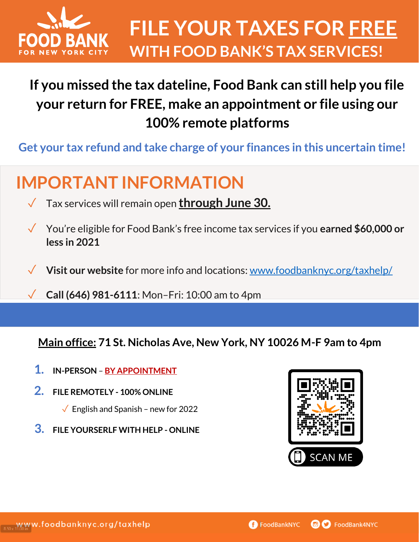

### **If you missed the tax dateline, Food Bank can still help you file your return for FREE, make an appointment or file using our 100% remote platforms**

**Get your tax refund and take charge of your finances in this uncertain time!** 

# **IMPORTANT INFORMATION**

- ✓ Tax services will remain open **through June 30.**
- ✓ You're eligible for Food Bank's free income tax services if you **earned \$60,000 or less in 2021**
- **Visit our website** for more info and locations[:](https://www.foodbanknyc.org/taxhelp/) [www.foodbanknyc.org/taxhelp/](https://www.foodbanknyc.org/taxhelp/)
- ✓ **Call (646) 981-6111**: Mon–Fri: 10:00 am to 4pm

**Main office: 71 St. Nicholas Ave, New York, NY 10026 M-F 9am to 4pm**

- **1. IN-PERSON BY APPOINTMENT**
- **2. FILE REMOTELY - 100% ONLINE** 
	- $\sqrt{\phantom{a}}$  English and Spanish new for 2022
- **3. FILE YOURSERLF WITH HELP - ONLINE**